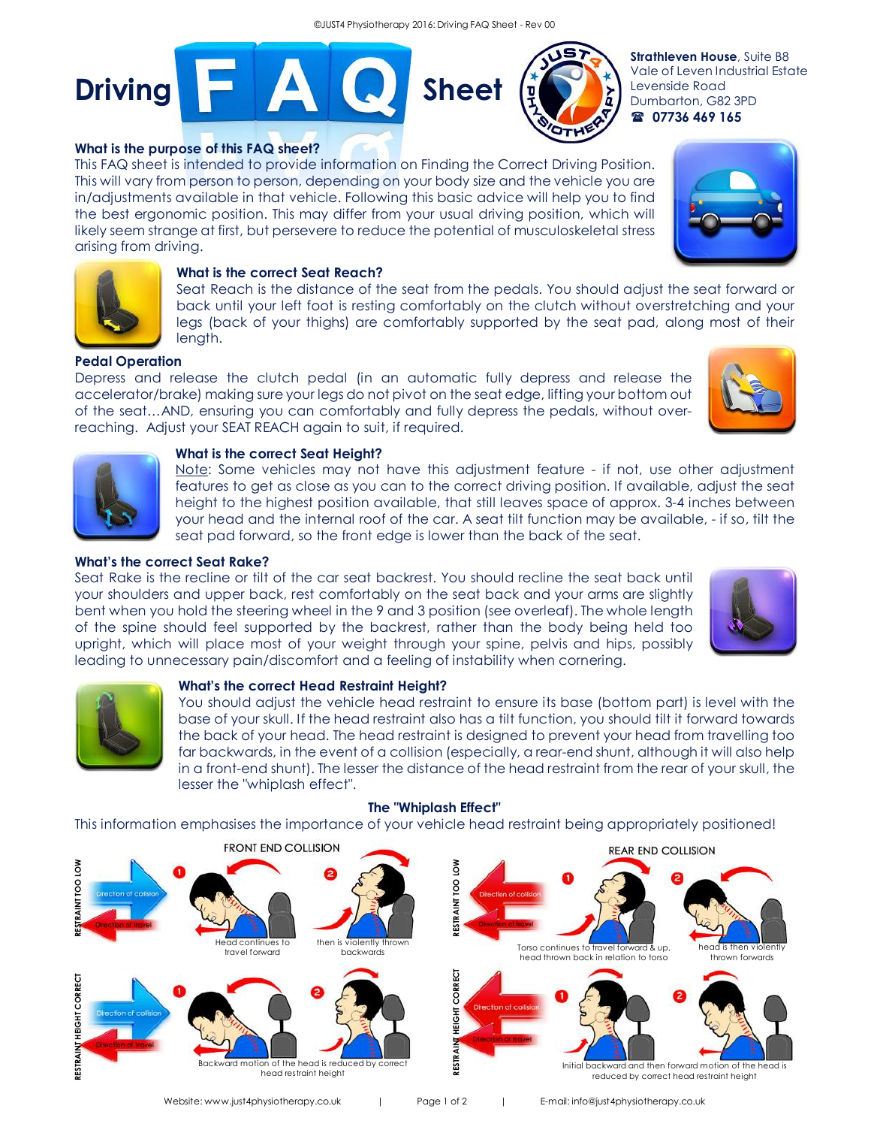



**Strathleven House**, Suite B8 Vale of Leven Industrial Estate Levenside Road Dumbarton, G82 3PD ( **07736 469 165**

# **What is the purpose of this FAQ sheet?**

This FAQ sheet is intended to provide information on Finding the Correct Driving Position. This will vary from person to person, depending on your body size and the vehicle you are in/adjustments available in that vehicle. Following this basic advice will help you to find the best ergonomic position. This may differ from your usual driving position, which will likely seem strange at first, but persevere to reduce the potential of musculoskeletal stress arising from driving.





# **What is the correct Seat Reach?**

Seat Reach is the distance of the seat from the pedals. You should adjust the seat forward or back until your left foot is resting comfortably on the clutch without overstretching and your legs (back of your thighs) are comfortably supported by the seat pad, along most of their length.

## **Pedal Operation**

Depress and release the clutch pedal (in an automatic fully depress and release the accelerator/brake) making sure your legs do not pivot on the seat edge, lifting your bottom out of the seat…AND, ensuring you can comfortably and fully depress the pedals, without overreaching. Adjust your SEAT REACH again to suit, if required.





## **What is the correct Seat Height?**

Note: Some vehicles may not have this adjustment feature - if not, use other adjustment features to get as close as you can to the correct driving position. If available, adjust the seat height to the highest position available, that still leaves space of approx. 3-4 inches between your head and the internal roof of the car. A seat tilt function may be available, - if so, tilt the seat pad forward, so the front edge is lower than the back of the seat.

# **What's the correct Seat Rake?**

Seat Rake is the recline or tilt of the car seat backrest. You should recline the seat back until your shoulders and upper back, rest comfortably on the seat back and your arms are slightly bent when you hold the steering wheel in the 9 and 3 position (see overleaf). The whole length of the spine should feel supported by the backrest, rather than the body being held too upright, which will place most of your weight through your spine, pelvis and hips, possibly leading to unnecessary pain/discomfort and a feeling of instability when cornering.





## **What's the correct Head Restraint Height?**

You should adjust the vehicle head restraint to ensure its base (bottom part) is level with the base of your skull. If the head restraint also has a tilt function, you should tilt it forward towards the back of your head. The head restraint is designed to prevent your head from travelling too far backwards, in the event of a collision (especially, a rear-end shunt, although it will also help in a front-end shunt). The lesser the distance of the head restraint from the rear of your skull, the lesser the "whiplash effect".



## **The "Whiplash Effect"**

This information emphasises the importance of your vehicle head restraint being appropriately positioned!